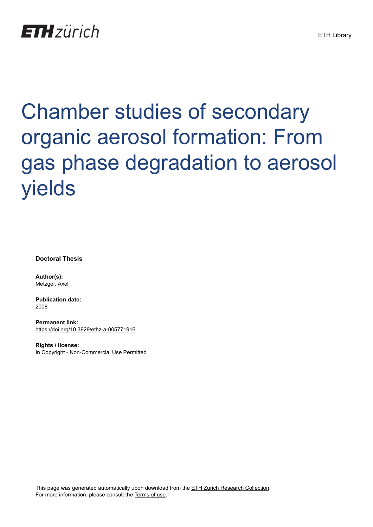# **ETH**zürich

# Chamber studies of secondary organic aerosol formation: From gas phase degradation to aerosol yields

**Doctoral Thesis**

**Author(s):** Metzger, Axel

**Publication date:** 2008

**Permanent link:** <https://doi.org/10.3929/ethz-a-005771916>

**Rights / license:** [In Copyright - Non-Commercial Use Permitted](http://rightsstatements.org/page/InC-NC/1.0/)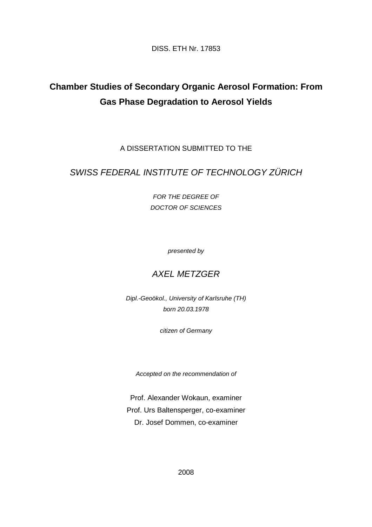DISS. ETH Nr. 17853

# **Chamber Studies of Secondary Organic Aerosol Formation: From Gas Phase Degradation to Aerosol Yields**

A DISSERTATION SUBMITTED TO THE

#### SWISS FEDERAL INSTITUTE OF TECHNOLOGY ZÜRICH

FOR THE DEGREE OF DOCTOR OF SCIENCES

presented by

#### AXEL METZGER

Dipl.-Geoökol., University of Karlsruhe (TH) born 20.03.1978

citizen of Germany

Accepted on the recommendation of

Prof. Alexander Wokaun, examiner Prof. Urs Baltensperger, co-examiner Dr. Josef Dommen, co-examiner

2008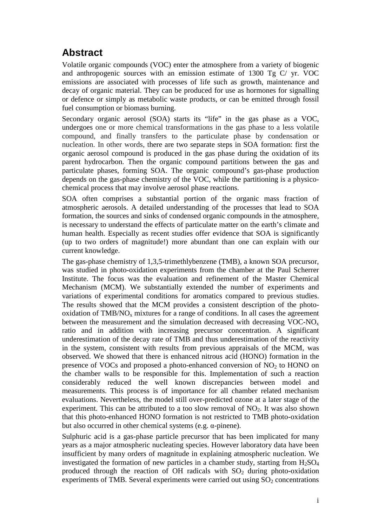## **Abstract**

Volatile organic compounds (VOC) enter the atmosphere from a variety of biogenic and anthropogenic sources with an emission estimate of 1300 Tg C/ yr. VOC emissions are associated with processes of life such as growth, maintenance and decay of organic material. They can be produced for use as hormones for signalling or defence or simply as metabolic waste products, or can be emitted through fossil fuel consumption or biomass burning.

Secondary organic aerosol (SOA) starts its "life" in the gas phase as a VOC, undergoes one or more chemical transformations in the gas phase to a less volatile compound, and finally transfers to the particulate phase by condensation or nucleation. In other words, there are two separate steps in SOA formation: first the organic aerosol compound is produced in the gas phase during the oxidation of its parent hydrocarbon. Then the organic compound partitions between the gas and particulate phases, forming SOA. The organic compound's gas-phase production depends on the gas-phase chemistry of the VOC, while the partitioning is a physicochemical process that may involve aerosol phase reactions.

SOA often comprises a substantial portion of the organic mass fraction of atmospheric aerosols. A detailed understanding of the processes that lead to SOA formation, the sources and sinks of condensed organic compounds in the atmosphere, is necessary to understand the effects of particulate matter on the earth's climate and human health. Especially as recent studies offer evidence that SOA is significantly (up to two orders of magnitude!) more abundant than one can explain with our current knowledge.

The gas-phase chemistry of 1,3,5-trimethlybenzene (TMB), a known SOA precursor, was studied in photo-oxidation experiments from the chamber at the Paul Scherrer Institute. The focus was the evaluation and refinement of the Master Chemical Mechanism (MCM). We substantially extended the number of experiments and variations of experimental conditions for aromatics compared to previous studies. The results showed that the MCM provides a consistent description of the photooxidation of  $TMB/NO<sub>x</sub>$  mixtures for a range of conditions. In all cases the agreement between the measurement and the simulation decreased with decreasing  $VOC-NO<sub>x</sub>$ ratio and in addition with increasing precursor concentration. A significant underestimation of the decay rate of TMB and thus underestimation of the reactivity in the system, consistent with results from previous appraisals of the MCM, was observed. We showed that there is enhanced nitrous acid (HONO) formation in the presence of VOCs and proposed a photo-enhanced conversion of  $NO<sub>2</sub>$  to HONO on the chamber walls to be responsible for this. Implementation of such a reaction considerably reduced the well known discrepancies between model and measurements. This process is of importance for all chamber related mechanism evaluations. Nevertheless, the model still over-predicted ozone at a later stage of the experiment. This can be attributed to a too slow removal of  $NO<sub>2</sub>$ . It was also shown that this photo-enhanced HONO formation is not restricted to TMB photo-oxidation but also occurred in other chemical systems (e.g. α-pinene).

Sulphuric acid is a gas-phase particle precursor that has been implicated for many years as a major atmospheric nucleating species. However laboratory data have been insufficient by many orders of magnitude in explaining atmospheric nucleation. We investigated the formation of new particles in a chamber study, starting from  $H_2SO_4$ produced through the reaction of OH radicals with  $SO_2$  during photo-oxidation experiments of TMB. Several experiments were carried out using  $SO<sub>2</sub>$  concentrations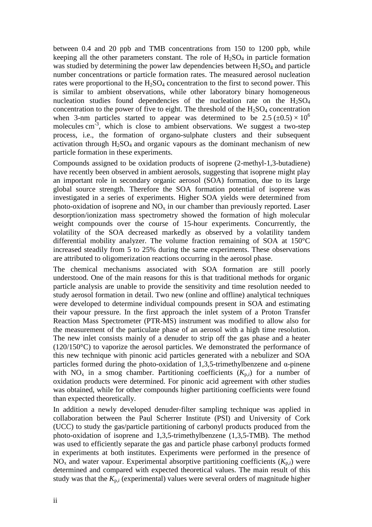between 0.4 and 20 ppb and TMB concentrations from 150 to 1200 ppb, while keeping all the other parameters constant. The role of  $H_2SO_4$  in particle formation was studied by determining the power law dependencies between  $H_2SO_4$  and particle number concentrations or particle formation rates. The measured aerosol nucleation rates were proportional to the  $H_2SO_4$  concentration to the first to second power. This is similar to ambient observations, while other laboratory binary homogeneous nucleation studies found dependencies of the nucleation rate on the  $H<sub>2</sub>SO<sub>4</sub>$ concentration to the power of five to eight. The threshold of the  $H<sub>2</sub>SO<sub>4</sub>$  concentration when 3-nm particles started to appear was determined to be  $2.5 \ (\pm 0.5) \times 10^6$ molecules  $cm<sup>3</sup>$ , which is close to ambient observations. We suggest a two-step process, i.e., the formation of organo-sulphate clusters and their subsequent activation through  $H<sub>2</sub>SO<sub>4</sub>$  and organic vapours as the dominant mechanism of new particle formation in these experiments.

Compounds assigned to be oxidation products of isoprene (2-methyl-1,3-butadiene) have recently been observed in ambient aerosols, suggesting that isoprene might play an important role in secondary organic aerosol (SOA) formation, due to its large global source strength. Therefore the SOA formation potential of isoprene was investigated in a series of experiments. Higher SOA yields were determined from photo-oxidation of isoprene and  $NO<sub>x</sub>$  in our chamber than previously reported. Laser desorption/ionization mass spectrometry showed the formation of high molecular weight compounds over the course of 15-hour experiments. Concurrently, the volatility of the SOA decreased markedly as observed by a volatility tandem differential mobility analyzer. The volume fraction remaining of SOA at 150°C increased steadily from 5 to 25% during the same experiments. These observations are attributed to oligomerization reactions occurring in the aerosol phase.

The chemical mechanisms associated with SOA formation are still poorly understood. One of the main reasons for this is that traditional methods for organic particle analysis are unable to provide the sensitivity and time resolution needed to study aerosol formation in detail. Two new (online and offline) analytical techniques were developed to determine individual compounds present in SOA and estimating their vapour pressure. In the first approach the inlet system of a Proton Transfer Reaction Mass Spectrometer (PTR-MS) instrument was modified to allow also for the measurement of the particulate phase of an aerosol with a high time resolution. The new inlet consists mainly of a denuder to strip off the gas phase and a heater (120/150°C) to vaporize the aerosol particles. We demonstrated the performance of this new technique with pinonic acid particles generated with a nebulizer and SOA particles formed during the photo-oxidation of 1,3,5-trimethylbenzene and α-pinene with  $NO_x$  in a smog chamber. Partitioning coefficients  $(K_{p,i})$  for a number of oxidation products were determined. For pinonic acid agreement with other studies was obtained, while for other compounds higher partitioning coefficients were found than expected theoretically.

In addition a newly developed denuder-filter sampling technique was applied in collaboration between the Paul Scherrer Institute (PSI) and University of Cork (UCC) to study the gas/particle partitioning of carbonyl products produced from the photo-oxidation of isoprene and 1,3,5-trimethylbenzene (1,3,5-TMB). The method was used to efficiently separate the gas and particle phase carbonyl products formed in experiments at both institutes. Experiments were performed in the presence of  $NO<sub>x</sub>$  and water vapour. Experimental absorptive partitioning coefficients  $(K<sub>p,i</sub>)$  were determined and compared with expected theoretical values. The main result of this study was that the  $K_{p,i}$  (experimental) values were several orders of magnitude higher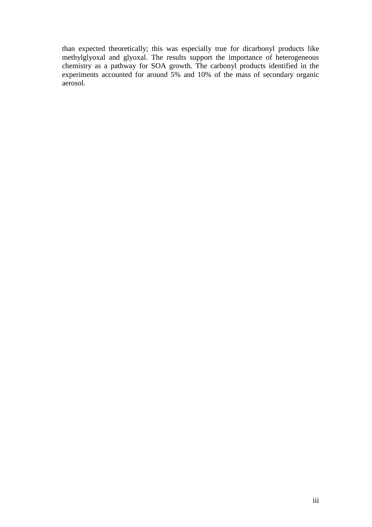than expected theoretically; this was especially true for dicarbonyl products like methylglyoxal and glyoxal. The results support the importance of heterogeneous chemistry as a pathway for SOA growth. The carbonyl products identified in the experiments accounted for around 5% and 10% of the mass of secondary organic aerosol.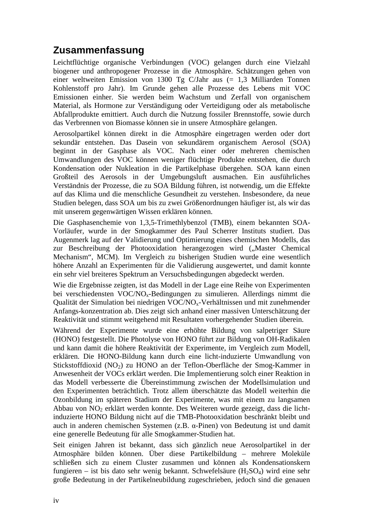### **Zusammenfassung**

Leichtflüchtige organische Verbindungen (VOC) gelangen durch eine Vielzahl biogener und anthropogener Prozesse in die Atmosphäre. Schätzungen gehen von einer weltweiten Emission von 1300 Tg C/Jahr aus (= 1,3 Milliarden Tonnen Kohlenstoff pro Jahr). Im Grunde gehen alle Prozesse des Lebens mit VOC Emissionen einher. Sie werden beim Wachstum und Zerfall von organischem Material, als Hormone zur Verständigung oder Verteidigung oder als metabolische Abfallprodukte emittiert. Auch durch die Nutzung fossiler Brennstoffe, sowie durch das Verbrennen von Biomasse können sie in unsere Atmosphäre gelangen.

Aerosolpartikel können direkt in die Atmosphäre eingetragen werden oder dort sekundär entstehen. Das Dasein von sekundärem organischem Aerosol (SOA) beginnt in der Gasphase als VOC. Nach einer oder mehreren chemischen Umwandlungen des VOC können weniger flüchtige Produkte entstehen, die durch Kondensation oder Nukleation in die Partikelphase übergehen. SOA kann einen Großteil des Aerosols in der Umgebungsluft ausmachen. Ein ausführliches Verständnis der Prozesse, die zu SOA Bildung führen, ist notwendig, um die Effekte auf das Klima und die menschliche Gesundheit zu verstehen. Insbesondere, da neue Studien belegen, dass SOA um bis zu zwei Größenordnungen häufiger ist, als wir das mit unserem gegenwärtigen Wissen erklären können.

Die Gasphasenchemie von 1,3,5-Trimethlybenzol (TMB), einem bekannten SOA-Vorläufer, wurde in der Smogkammer des Paul Scherrer Instituts studiert. Das Augenmerk lag auf der Validierung und Optimierung eines chemischen Modells, das zur Beschreibung der Photooxidation herangezogen wird ("Master Chemical Mechanism", MCM). Im Vergleich zu bisherigen Studien wurde eine wesentlich höhere Anzahl an Experimenten für die Validierung ausgewertet, und damit konnte ein sehr viel breiteres Spektrum an Versuchsbedingungen abgedeckt werden.

Wie die Ergebnisse zeigten, ist das Modell in der Lage eine Reihe von Experimenten bei verschiedensten VOC/NO<sub>x</sub>-Bedingungen zu simulieren. Allerdings nimmt die Qualität der Simulation bei niedrigen VOC/NOx-Verhältnissen und mit zunehmender Anfangs-konzentration ab. Dies zeigt sich anhand einer massiven Unterschätzung der Reaktivität und stimmt weitgehend mit Resultaten vorhergehender Studien überein.

Während der Experimente wurde eine erhöhte Bildung von salpetriger Säure (HONO) festgestellt. Die Photolyse von HONO führt zur Bildung von OH-Radikalen und kann damit die höhere Reaktivität der Experimente, im Vergleich zum Modell, erklären. Die HONO-Bildung kann durch eine licht-induzierte Umwandlung von Stickstoffdioxid (NO<sub>2</sub>) zu HONO an der Teflon-Oberfläche der Smog-Kammer in Anwesenheit der VOCs erklärt werden. Die Implementierung solch einer Reaktion in das Modell verbesserte die Übereinstimmung zwischen der Modellsimulation und den Experimenten beträchtlich. Trotz allem überschätzte das Modell weiterhin die Ozonbildung im späteren Stadium der Experimente, was mit einem zu langsamen Abbau von  $NO<sub>2</sub>$  erklärt werden konnte. Des Weiteren wurde gezeigt, dass die lichtinduzierte HONO Bildung nicht auf die TMB-Photooxidation beschränkt bleibt und auch in anderen chemischen Systemen (z.B. α-Pinen) von Bedeutung ist und damit eine generelle Bedeutung für alle Smogkammer-Studien hat.

Seit einigen Jahren ist bekannt, dass sich gänzlich neue Aerosolpartikel in der Atmosphäre bilden können. Über diese Partikelbildung – mehrere Moleküle schließen sich zu einem Cluster zusammen und können als Kondensationskern fungieren – ist bis dato sehr wenig bekannt. Schwefelsäure  $(H_2SO_4)$  wird eine sehr große Bedeutung in der Partikelneubildung zugeschrieben, jedoch sind die genauen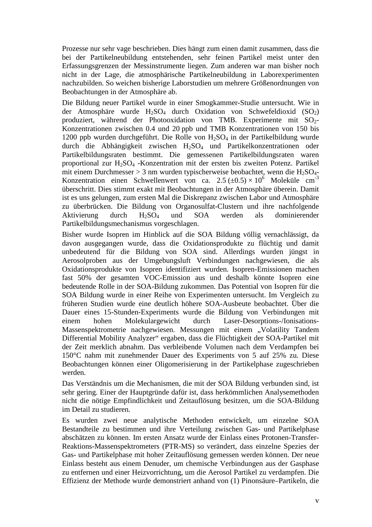Prozesse nur sehr vage beschrieben. Dies hängt zum einen damit zusammen, dass die bei der Partikelneubildung entstehenden, sehr feinen Partikel meist unter den Erfassungsgrenzen der Messinstrumente liegen. Zum anderen war man bisher noch nicht in der Lage, die atmosphärische Partikelneubildung in Laborexperimenten nachzubilden. So weichen bisherige Laborstudien um mehrere Größenordnungen von Beobachtungen in der Atmosphäre ab.

Die Bildung neuer Partikel wurde in einer Smogkammer-Studie untersucht. Wie in der Atmosphäre wurde  $H_2SO_4$  durch Oxidation von Schwefeldioxid (SO<sub>2</sub>) produziert, während der Photooxidation von TMB. Experimente mit SO<sub>2</sub>-Konzentrationen zwischen 0.4 und 20 ppb und TMB Konzentrationen von 150 bis 1200 ppb wurden durchgeführt. Die Rolle von H2SO4 in der Partikelbildung wurde durch die Abhängigkeit zwischen H2SO4 und Partikelkonzentrationen oder Partikelbildungsraten bestimmt. Die gemessenen Partikelbildungsraten waren proportional zur H2SO4 -Konzentration mit der ersten bis zweiten Potenz. Partikel mit einem Durchmesser > 3 nm wurden typischerweise beobachtet, wenn die H<sub>2</sub>SO<sub>4</sub>-Konzentration einen Schwellenwert von ca. 2.5  $(\pm 0.5) \times 10^6$  Moleküle cm<sup>-3</sup> überschritt. Dies stimmt exakt mit Beobachtungen in der Atmosphäre überein. Damit ist es uns gelungen, zum ersten Mal die Diskrepanz zwischen Labor und Atmosphäre zu überbrücken. Die Bildung von Organosulfat-Clustern und ihre nachfolgende Aktivierung durch H2SO4 und SOA werden als dominierender Partikelbildungsmechanismus vorgeschlagen.

Bisher wurde Isopren im Hinblick auf die SOA Bildung völlig vernachlässigt, da davon ausgegangen wurde, dass die Oxidationsprodukte zu flüchtig und damit unbedeutend für die Bildung von SOA sind. Allerdings wurden jüngst in Aerosolproben aus der Umgebungsluft Verbindungen nachgewiesen, die als Oxidationsprodukte von Isopren identifiziert wurden. Isopren-Emissionen machen fast 50% der gesamten VOC-Emission aus und deshalb könnte Isopren eine bedeutende Rolle in der SOA-Bildung zukommen. Das Potential von Isopren für die SOA Bildung wurde in einer Reihe von Experimenten untersucht. Im Vergleich zu früheren Studien wurde eine deutlich höhere SOA-Ausbeute beobachtet. Über die Dauer eines 15-Stunden-Experiments wurde die Bildung von Verbindungen mit einem hohen Molekulargewicht durch Laser-Desorptions-/Ionisations-Massenspektrometrie nachgewiesen. Messungen mit einem "Volatility Tandem Differential Mobility Analyzer" ergaben, dass die Flüchtigkeit der SOA-Partikel mit der Zeit merklich abnahm. Das verbleibende Volumen nach dem Verdampfen bei 150°C nahm mit zunehmender Dauer des Experiments von 5 auf 25% zu. Diese Beobachtungen können einer Oligomerisierung in der Partikelphase zugeschrieben werden.

Das Verständnis um die Mechanismen, die mit der SOA Bildung verbunden sind, ist sehr gering. Einer der Hauptgründe dafür ist, dass herkömmlichen Analysemethoden nicht die nötige Empfindlichkeit und Zeitauflösung besitzen, um die SOA-Bildung im Detail zu studieren.

Es wurden zwei neue analytische Methoden entwickelt, um einzelne SOA Bestandteile zu bestimmen und ihre Verteilung zwischen Gas- und Partikelphase abschätzen zu können. Im ersten Ansatz wurde der Einlass eines Protonen-Transfer-Reaktions-Massenspektrometers (PTR-MS) so verändert, dass einzelne Spezies der Gas- und Partikelphase mit hoher Zeitauflösung gemessen werden können. Der neue Einlass besteht aus einem Denuder, um chemische Verbindungen aus der Gasphase zu entfernen und einer Heizvorrichtung, um die Aerosol Partikel zu verdampfen. Die Effizienz der Methode wurde demonstriert anhand von (1) Pinonsäure–Partikeln, die